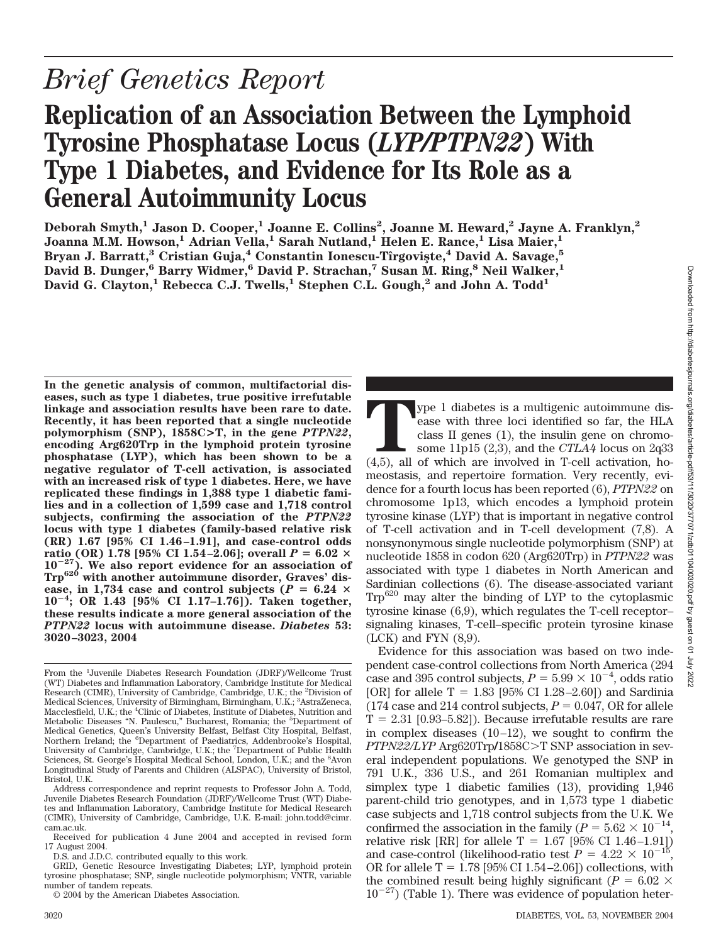# **Replication of an Association Between the Lymphoid Tyrosine Phosphatase Locus (***LYP/PTPN22***) With Type 1 Diabetes, and Evidence for Its Role as a General Autoimmunity Locus**

**Deborah Smyth,1 Jason D. Cooper,1 Joanne E. Collins2 , Joanne M. Heward,2 Jayne A. Franklyn,2 Joanna M.M. Howson,1 Adrian Vella,1 Sarah Nutland,1 Helen E. Rance,1 Lisa Maier,1 Bryan J. Barratt,3 Cristian Guja,4 Constantin Ionescu-Tıˆrgovis¸te,4 David A. Savage,5 David B. Dunger,6 Barry Widmer,6 David P. Strachan,7 Susan M. Ring,8 Neil Walker,1** David G. Clayton,<sup>1</sup> Rebecca C.J. Twells,<sup>1</sup> Stephen C.L. Gough,<sup>2</sup> and John A. Todd<sup>1</sup>

**In the genetic analysis of common, multifactorial diseases, such as type 1 diabetes, true positive irrefutable linkage and association results have been rare to date. Recently, it has been reported that a single nucleotide polymorphism (SNP), 1858C>T, in the gene** *PTPN22***, encoding Arg620Trp in the lymphoid protein tyrosine phosphatase (LYP), which has been shown to be a negative regulator of T-cell activation, is associated with an increased risk of type 1 diabetes. Here, we have replicated these findings in 1,388 type 1 diabetic families and in a collection of 1,599 case and 1,718 control subjects, confirming the association of the** *PTPN22* **locus with type 1 diabetes (family-based relative risk (RR) 1.67 [95% CI 1.46 –1.91], and case-control odds**  $\text{ratio (OR)}\ 1.78\ [95\% \ \text{CI } 1.54 - 2.06]; \text{overall } P = 6.02 \ \times \$ **1027). We also report evidence for an association of Trp620 with another autoimmune disorder, Graves' dis**ease, in 1,734 case and control subjects ( $P = 6.24 \times$  $10^{-4}$ **; OR 1.43 [95% CI 1.17–1.76]). Taken together, these results indicate a more general association of the** *PTPN22* **locus with autoimmune disease.** *Diabetes* **53: 3020 –3023, 2004**

**T**ype 1 diabetes is a multigenic autoimmune disease with three loci identified so far, the HLA class II genes (1), the insulin gene on chromosome 11p15 (2,3), and the *CTLA4* locus on 2q33 (4,5), all of which are involved in T-cell activation, homeostasis, and repertoire formation. Very recently, evidence for a fourth locus has been reported (6), *PTPN22* on chromosome 1p13, which encodes a lymphoid protein tyrosine kinase (LYP) that is important in negative control of T-cell activation and in T-cell development (7,8). A nonsynonymous single nucleotide polymorphism (SNP) at nucleotide 1858 in codon 620 (Arg620Trp) in *PTPN22* was associated with type 1 diabetes in North American and Sardinian collections (6). The disease-associated variant Trp620 may alter the binding of LYP to the cytoplasmic tyrosine kinase (6,9), which regulates the T-cell receptor– signaling kinases, T-cell–specific protein tyrosine kinase  $(LCK)$  and FYN  $(8,9)$ .

Evidence for this association was based on two independent case-control collections from North America (294 case and 395 control subjects,  $P = 5.99 \times 10^{-4}$ , odds ratio [OR] for allele T =  $1.83$  [95% CI 1.28-2.60]) and Sardinia (174 case and 214 control subjects,  $P = 0.047$ , OR for allele  $T = 2.31$  [0.93–5.82]). Because irrefutable results are rare in complex diseases  $(10-12)$ , we sought to confirm the *PTPN22/LYP* Arg620Trp/1858C>T SNP association in several independent populations. We genotyped the SNP in 791 U.K., 336 U.S., and 261 Romanian multiplex and simplex type 1 diabetic families (13), providing 1,946 parent-child trio genotypes, and in 1,573 type 1 diabetic case subjects and 1,718 control subjects from the U.K. We confirmed the association in the family ( $P = 5.62 \times 10^{-14}$ , relative risk [RR] for allele  $T = 1.67$  [95% CI 1.46-1.91]) and case-control (likelihood-ratio test  $P = 4.22 \times 10^{-15}$ , OR for allele  $T = 1.78$  [95% CI 1.54 – 2.06]) collections, with the combined result being highly significant ( $P = 6.02 \times$  $10^{-27}$ ) (Table 1). There was evidence of population heter-

From the <sup>1</sup> Juvenile Diabetes Research Foundation (JDRF)/Wellcome Trust (WT) Diabetes and Inflammation Laboratory, Cambridge Institute for Medical Research (CIMR), University of Cambridge, Cambridge, U.K.; the <sup>2</sup>Division of Medical Sciences, University of Birmingham, Birmingham, U.K.; <sup>3</sup>AstraZeneca, Macclesfield, U.K.; the <sup>4</sup>Clinic of Diabetes, Institute of Diabetes, Nutrition and Metabolic Diseases "N. Paulescu," Bucharest, Romania; the <sup>5</sup>Department of Medical Genetics, Queen's University Belfast, Belfast City Hospital, Belfast, Northern Ireland; the <sup>6</sup>Department of Paediatrics, Addenbrooke's Hospital, University of Cambridge, Cambridge, U.K.; the <sup>7</sup>Department of Public Health Sciences, St. George's Hospital Medical School, London, U.K.; and the <sup>8</sup>Avon Longitudinal Study of Parents and Children (ALSPAC), University of Bristol, Bristol, U.K.

Address correspondence and reprint requests to Professor John A. Todd, Juvenile Diabetes Research Foundation (JDRF)/Wellcome Trust (WT) Diabetes and Inflammation Laboratory, Cambridge Institute for Medical Research (CIMR), University of Cambridge, Cambridge, U.K. E-mail: john.todd@cimr. cam.ac.uk.

Received for publication 4 June 2004 and accepted in revised form 17 August 2004.

D.S. and J.D.C. contributed equally to this work.

GRID, Genetic Resource Investigating Diabetes; LYP, lymphoid protein tyrosine phosphatase; SNP, single nucleotide polymorphism; VNTR, variable number of tandem repeats.

<sup>© 2004</sup> by the American Diabetes Association.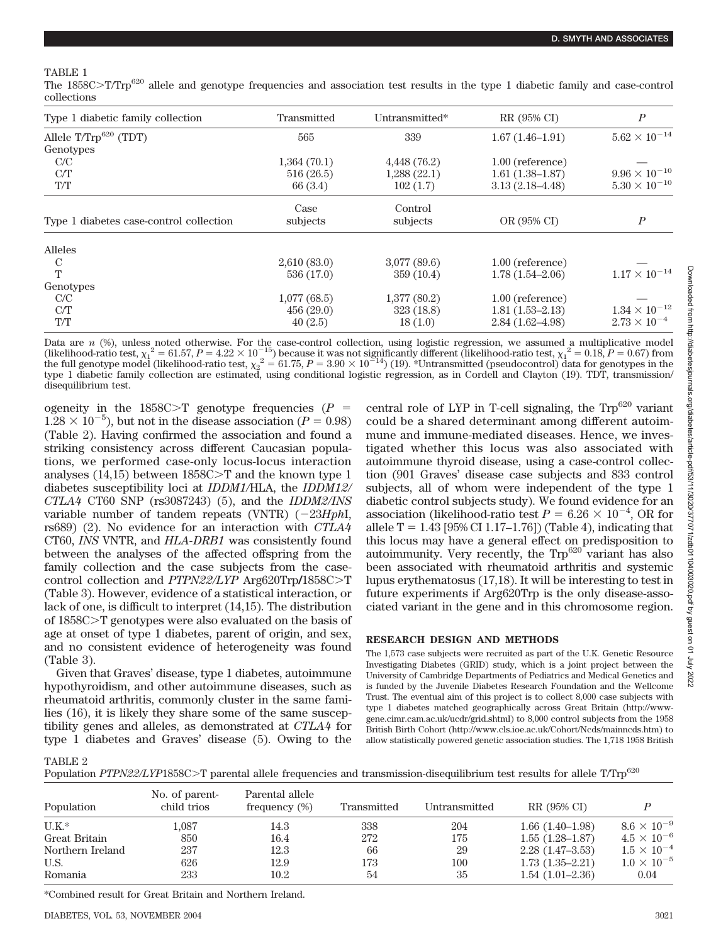The 1858C>T/Trp<sup>620</sup> allele and genotype frequencies and association test results in the type 1 diabetic family and case-control collections

| Type 1 diabetic family collection       | Transmitted | Untransmitted* | RR (95% CI)         | $\boldsymbol{P}$       |
|-----------------------------------------|-------------|----------------|---------------------|------------------------|
| Allele T/Trp <sup>620</sup> (TDT)       | 565         | 339            | $1.67(1.46-1.91)$   | $5.62\times10^{-14}$   |
| Genotypes                               |             |                |                     |                        |
| C/C                                     | 1,364(70.1) | 4,448 (76.2)   | $1.00$ (reference)  |                        |
| C/T                                     | 516(26.5)   | 1,288(22.1)    | $1.61(1.38-1.87)$   | $9.96 \times 10^{-10}$ |
| T/T                                     | 66(3.4)     | 102(1.7)       | $3.13(2.18 - 4.48)$ | $5.30 \times 10^{-10}$ |
|                                         | Case        | Control        |                     |                        |
| Type 1 diabetes case-control collection | subjects    | subjects       | OR (95% CI)         | $\boldsymbol{P}$       |
| Alleles                                 |             |                |                     |                        |
| C                                       | 2,610(83.0) | 3,077(89.6)    | $1.00$ (reference)  |                        |
| T                                       | 536 (17.0)  | 359(10.4)      | $1.78(1.54 - 2.06)$ | $1.17 \times 10^{-14}$ |
| Genotypes                               |             |                |                     |                        |
| C/C                                     | 1,077(68.5) | 1,377(80.2)    | $1.00$ (reference)  |                        |
| C/T                                     | 456(29.0)   | 323(18.8)      | $1.81(1.53 - 2.13)$ | $1.34\times10^{-12}$   |
| T/T                                     | 40(2.5)     | 18(1.0)        | $2.84(1.62 - 4.98)$ | $2.73 \times 10^{-4}$  |

Data are *n* (%), unless noted otherwise. For the case-control collection, using logistic regression, we assumed a multiplicative model (likelihood-ratio test,  $\chi_1^2 = 61.57$ ,  $P = 4.22 \times 10^{-15}$ ) because it was not significantly different (likelihood-ratio test,  $\chi_1^2 = 0.18$ ,  $P = 0.67$ ) from the full genotype model (likelihood-ratio test,  $\chi_2^2 = 61.75$ ,  $P = 3.90 \times 10^{-14}$ ) (19). \*Untransmitted (pseudocontrol) data for genotypes in the type 1 diabetic family collection are estimated, using conditional logistic regression, as in Cordell and Clayton (19). TDT, transmission/ disequilibrium test.

ogeneity in the  $1858C>T$  genotype frequencies ( $P =$  $1.28 \times 10^{-5}$ ), but not in the disease association ( $P = 0.98$ ) (Table 2). Having confirmed the association and found a striking consistency across different Caucasian populations, we performed case-only locus-locus interaction analyses  $(14.15)$  between  $1858C>T$  and the known type 1 diabetes susceptibility loci at *IDDM1/*HLA, the *IDDM12/ CTLA4* CT60 SNP (rs3087243) (5), and the *IDDM2/INS* variable number of tandem repeats (VNTR)  $(-23HphI,$ rs689) (2). No evidence for an interaction with *CTLA4* CT60, *INS* VNTR, and *HLA-DRB1* was consistently found between the analyses of the affected offspring from the family collection and the case subjects from the casecontrol collection and *PTPN22/LYP* Arg620Trp/1858C>T (Table 3). However, evidence of a statistical interaction, or lack of one, is difficult to interpret (14,15). The distribution of 1858C>T genotypes were also evaluated on the basis of age at onset of type 1 diabetes, parent of origin, and sex, and no consistent evidence of heterogeneity was found (Table 3).

Given that Graves' disease, type 1 diabetes, autoimmune hypothyroidism, and other autoimmune diseases, such as rheumatoid arthritis, commonly cluster in the same families (16), it is likely they share some of the same susceptibility genes and alleles, as demonstrated at *CTLA4* for type 1 diabetes and Graves' disease (5). Owing to the central role of LYP in T-cell signaling, the  $Trp^{620}$  variant could be a shared determinant among different autoimmune and immune-mediated diseases. Hence, we investigated whether this locus was also associated with autoimmune thyroid disease, using a case-control collection (901 Graves' disease case subjects and 833 control subjects, all of whom were independent of the type 1 diabetic control subjects study). We found evidence for an association (likelihood-ratio test  $P = 6.26 \times 10^{-4}$ , OR for allele  $T = 1.43$  [95% CI 1.17–1.76]) (Table 4), indicating that this locus may have a general effect on predisposition to autoimmunity. Very recently, the  $Trp^{620}$  variant has also been associated with rheumatoid arthritis and systemic lupus erythematosus (17,18). It will be interesting to test in future experiments if Arg620Trp is the only disease-associated variant in the gene and in this chromosome region.

## **RESEARCH DESIGN AND METHODS**

The 1,573 case subjects were recruited as part of the U.K. Genetic Resource Investigating Diabetes (GRID) study, which is a joint project between the University of Cambridge Departments of Pediatrics and Medical Genetics and is funded by the Juvenile Diabetes Research Foundation and the Wellcome Trust. The eventual aim of this project is to collect 8,000 case subjects with type 1 diabetes matched geographically across Great Britain (http://wwwgene.cimr.cam.ac.uk/ucdr/grid.shtml) to 8,000 control subjects from the 1958 British Birth Cohort (http://www.cls.ioe.ac.uk/Cohort/Ncds/mainncds.htm) to allow statistically powered genetic association studies. The 1,718 1958 British

TABLE 2

| Population PTPN22/LYP1858C>T parental allele frequencies and transmission-disequilibrium test results for allele T/Trp <sup>620</sup> |  |  |  |  |  |  |  |  |
|---------------------------------------------------------------------------------------------------------------------------------------|--|--|--|--|--|--|--|--|
|---------------------------------------------------------------------------------------------------------------------------------------|--|--|--|--|--|--|--|--|

| Population       | No. of parent-<br>child trios | Parental allele<br>frequency (%) | Transmitted | Untransmitted | RR (95% CI)       |                      |
|------------------|-------------------------------|----------------------------------|-------------|---------------|-------------------|----------------------|
| $U.K.*$          | 1.087                         | 14.3                             | 338         | 204           | $1.66(1.40-1.98)$ | $8.6 \times 10^{-9}$ |
| Great Britain    | 850                           | 16.4                             | 272         | 175           | $1.55(1.28-1.87)$ | $4.5 \times 10^{-6}$ |
| Northern Ireland | 237                           | 12.3                             | 66          | 29            | $2.28(1.47-3.53)$ | $1.5 \times 10^{-4}$ |
| U.S.             | 626                           | 12.9                             | 173         | 100           | $1.73(1.35-2.21)$ | $1.0 \times 10^{-5}$ |
| Romania          | 233                           | 10.2                             | 54          | 35            | $1.54(1.01-2.36)$ | 0.04                 |

\*Combined result for Great Britain and Northern Ireland.

700 YO22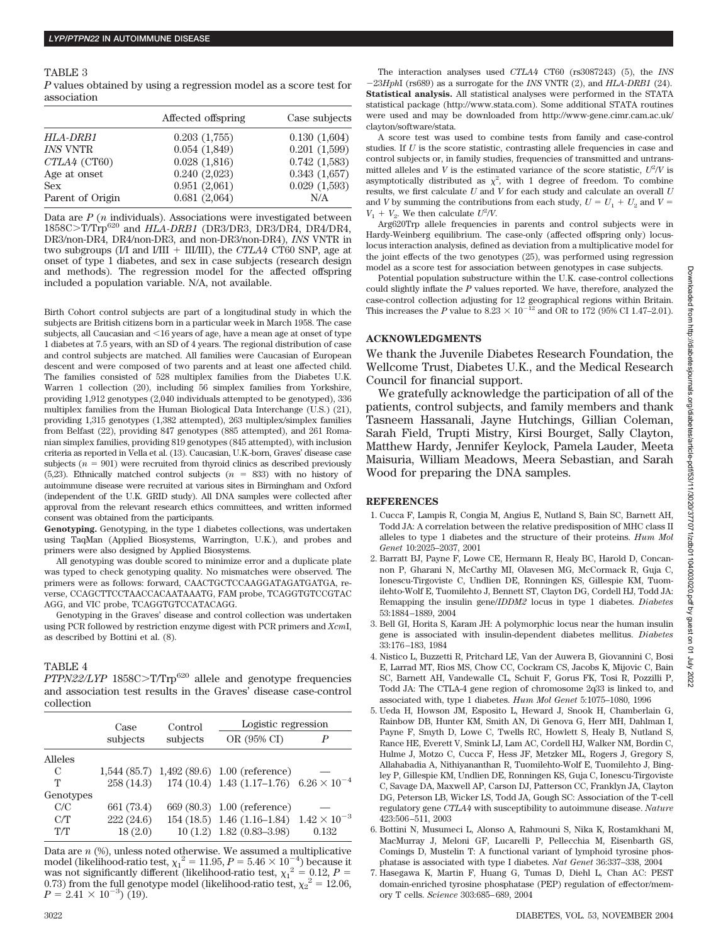#### TABLE 3

*P* values obtained by using a regression model as a score test for association

|                  | Affected offspring | Case subjects |
|------------------|--------------------|---------------|
| HLA-DRB1         | 0.203(1,755)       | 0.130(1,604)  |
| <b>INS VNTR</b>  | 0.054(1,849)       | 0.201(1.599)  |
| $CTLA4$ (CT60)   | 0.028(1,816)       | 0.742(1,583)  |
| Age at onset     | 0.240(2,023)       | 0.343(1.657)  |
| <b>Sex</b>       | 0.951(2,061)       | 0.029(1,593)  |
| Parent of Origin | 0.681(2,064)       | N/A           |

Data are *P* (*n* individuals). Associations were investigated between 1858CT/Trp<sup>620</sup> and *HLA-DRB1* (DR3/DR3, DR3/DR4, DR4/DR4, DR3/non-DR4, DR4/non-DR3, and non-DR3/non-DR4), *INS* VNTR in two subgroups (I/I and I/III + III/III), the *CTLA4* CT60 SNP, age at onset of type 1 diabetes, and sex in case subjects (research design and methods). The regression model for the affected offspring included a population variable. N/A, not available.

Birth Cohort control subjects are part of a longitudinal study in which the subjects are British citizens born in a particular week in March 1958. The case subjects, all Caucasian and  $\leq 16$  years of age, have a mean age at onset of type 1 diabetes at 7.5 years, with an SD of 4 years. The regional distribution of case and control subjects are matched. All families were Caucasian of European descent and were composed of two parents and at least one affected child. The families consisted of 528 multiplex families from the Diabetes U.K. Warren 1 collection (20), including 56 simplex families from Yorkshire, providing 1,912 genotypes (2,040 individuals attempted to be genotyped), 336 multiplex families from the Human Biological Data Interchange (U.S.) (21), providing 1,315 genotypes (1,382 attempted), 263 multiplex/simplex families from Belfast (22), providing 847 genotypes (885 attempted), and 261 Romanian simplex families, providing 819 genotypes (845 attempted), with inclusion criteria as reported in Vella et al. (13). Caucasian, U.K.-born, Graves' disease case subjects  $(n = 901)$  were recruited from thyroid clinics as described previously (5,23). Ethnically matched control subjects  $(n = 833)$  with no history of autoimmune disease were recruited at various sites in Birmingham and Oxford (independent of the U.K. GRID study). All DNA samples were collected after approval from the relevant research ethics committees, and written informed consent was obtained from the participants.

**Genotyping.** Genotyping, in the type 1 diabetes collections, was undertaken using TaqMan (Applied Biosystems, Warrington, U.K.), and probes and primers were also designed by Applied Biosystems.

All genotyping was double scored to minimize error and a duplicate plate was typed to check genotyping quality. No mismatches were observed. The primers were as follows: forward, CAACTGCTCCAAGGATAGATGATGA, reverse, CCAGCTTCCTAACCACAATAAATG, FAM probe, TCAGGTGTCCGTAC AGG, and VIC probe, TCAGGTGTCCATACAGG.

Genotyping in the Graves' disease and control collection was undertaken using PCR followed by restriction enzyme digest with PCR primers and *Xcm*I, as described by Bottini et al. (8).

#### TABLE 4

*PTPN22/LYP* 1858C>T/Trp<sup>620</sup> allele and genotype frequencies and association test results in the Graves' disease case-control collection

|           | Case       | Control  | Logistic regression                                          |       |
|-----------|------------|----------|--------------------------------------------------------------|-------|
|           | subjects   | subjects | OR (95% CI)                                                  | P     |
| Alleles   |            |          |                                                              |       |
| C         |            |          | 1,544 (85.7) 1,492 (89.6) 1.00 (reference)                   |       |
| т         |            |          | 258 (14.3) 174 (10.4) 1.43 (1.17-1.76) $6.26 \times 10^{-4}$ |       |
| Genotypes |            |          |                                                              |       |
| C/C       | 661 (73.4) |          | 669 (80.3) 1.00 (reference)                                  |       |
| C/T       | 222(24.6)  |          | 154 (18.5) 1.46 (1.16–1.84) $1.42 \times 10^{-3}$            |       |
| T/T       | 18(2.0)    |          | $10(1.2)$ 1.82 $(0.83-3.98)$                                 | 0.132 |

Data are *n* (%), unless noted otherwise. We assumed a multiplicative model (likelihood-ratio test,  $\chi_1^2 = 11.95$ ,  $P = 5.46 \times 10^{-4}$ ) because it was not significantly different (likelihood-ratio test,  $\chi_1^2 = 0.12$ ,  $P =$ 0.73) from the full genotype model (likelihood-ratio test,  $\chi_2^2 = 12.06$ ,  $P = 2.41 \times 10^{-3}$  (19).

The interaction analyses used *CTLA4* CT60 (rs3087243) (5), the *INS* 23*Hph*I (rs689) as a surrogate for the *INS* VNTR (2), and *HLA-DRB1* (24). **Statistical analysis.** All statistical analyses were performed in the STATA statistical package (http://www.stata.com). Some additional STATA routines were used and may be downloaded from http://www-gene.cimr.cam.ac.uk/ clayton/software/stata.

A score test was used to combine tests from family and case-control studies. If *U* is the score statistic, contrasting allele frequencies in case and control subjects or, in family studies, frequencies of transmitted and untransmitted alleles and *V* is the estimated variance of the score statistic,  $U^2/V$  is asymptotically distributed as  $\chi^2$ , with 1 degree of freedom. To combine results, we first calculate *U* and *V* for each study and calculate an overall *U* and *V* by summing the contributions from each study,  $U = U_1 + U_2$  and  $V =$  $V_1 + V_2$ . We then calculate  $U^2/V$ .

Arg620Trp allele frequencies in parents and control subjects were in Hardy-Weinberg equilibrium. The case-only (affected offspring only) locuslocus interaction analysis, defined as deviation from a multiplicative model for the joint effects of the two genotypes (25), was performed using regression model as a score test for association between genotypes in case subjects.

Potential population substructure within the U.K. case-control collections could slightly inflate the *P* values reported. We have, therefore, analyzed the case-control collection adjusting for 12 geographical regions within Britain. This increases the *P* value to  $8.23 \times 10^{-12}$  and OR to 172 (95% CI 1.47–2.01).

### **ACKNOWLEDGMENTS**

We thank the Juvenile Diabetes Research Foundation, the Wellcome Trust, Diabetes U.K., and the Medical Research Council for financial support.

We gratefully acknowledge the participation of all of the patients, control subjects, and family members and thank Tasneem Hassanali, Jayne Hutchings, Gillian Coleman, Sarah Field, Trupti Mistry, Kirsi Bourget, Sally Clayton, Matthew Hardy, Jennifer Keylock, Pamela Lauder, Meeta Maisuria, William Meadows, Meera Sebastian, and Sarah Wood for preparing the DNA samples.

## **REFERENCES**

- 1. Cucca F, Lampis R, Congia M, Angius E, Nutland S, Bain SC, Barnett AH, Todd JA: A correlation between the relative predisposition of MHC class II alleles to type 1 diabetes and the structure of their proteins. *Hum Mol Genet* 10:2025–2037, 2001
- 2. Barratt BJ, Payne F, Lowe CE, Hermann R, Healy BC, Harold D, Concannon P, Gharani N, McCarthy MI, Olavesen MG, McCormack R, Guja C, Ionescu-Tirgoviste C, Undlien DE, Ronningen KS, Gillespie KM, Tuomilehto-Wolf E, Tuomilehto J, Bennett ST, Clayton DG, Cordell HJ, Todd JA: Remapping the insulin gene/*IDDM2* locus in type 1 diabetes. *Diabetes* 53:1884 –1889, 2004
- 3. Bell GI, Horita S, Karam JH: A polymorphic locus near the human insulin gene is associated with insulin-dependent diabetes mellitus. *Diabetes* 33:176 –183, 1984
- 4. Nistico L, Buzzetti R, Pritchard LE, Van der Auwera B, Giovannini C, Bosi E, Larrad MT, Rios MS, Chow CC, Cockram CS, Jacobs K, Mijovic C, Bain SC, Barnett AH, Vandewalle CL, Schuit F, Gorus FK, Tosi R, Pozzilli P, Todd JA: The CTLA-4 gene region of chromosome 2q33 is linked to, and associated with, type 1 diabetes. *Hum Mol Genet* 5:1075–1080, 1996
- 5. Ueda H, Howson JM, Esposito L, Heward J, Snook H, Chamberlain G, Rainbow DB, Hunter KM, Smith AN, Di Genova G, Herr MH, Dahlman I, Payne F, Smyth D, Lowe C, Twells RC, Howlett S, Healy B, Nutland S, Rance HE, Everett V, Smink LJ, Lam AC, Cordell HJ, Walker NM, Bordin C, Hulme J, Motzo C, Cucca F, Hess JF, Metzker ML, Rogers J, Gregory S, Allahabadia A, Nithiyananthan R, Tuomilehto-Wolf E, Tuomilehto J, Bingley P, Gillespie KM, Undlien DE, Ronningen KS, Guja C, Ionescu-Tirgoviste C, Savage DA, Maxwell AP, Carson DJ, Patterson CC, Franklyn JA, Clayton DG, Peterson LB, Wicker LS, Todd JA, Gough SC: Association of the T-cell regulatory gene *CTLA4* with susceptibility to autoimmune disease. *Nature* 423:506 –511, 2003
- 6. Bottini N, Musumeci L, Alonso A, Rahmouni S, Nika K, Rostamkhani M, MacMurray J, Meloni GF, Lucarelli P, Pellecchia M, Eisenbarth GS, Comings D, Mustelin T: A functional variant of lymphoid tyrosine phosphatase is associated with type I diabetes. *Nat Genet* 36:337–338, 2004

<sup>7.</sup> Hasegawa K, Martin F, Huang G, Tumas D, Diehl L, Chan AC: PEST domain-enriched tyrosine phosphatase (PEP) regulation of effector/memory T cells. *Science* 303:685– 689, 2004